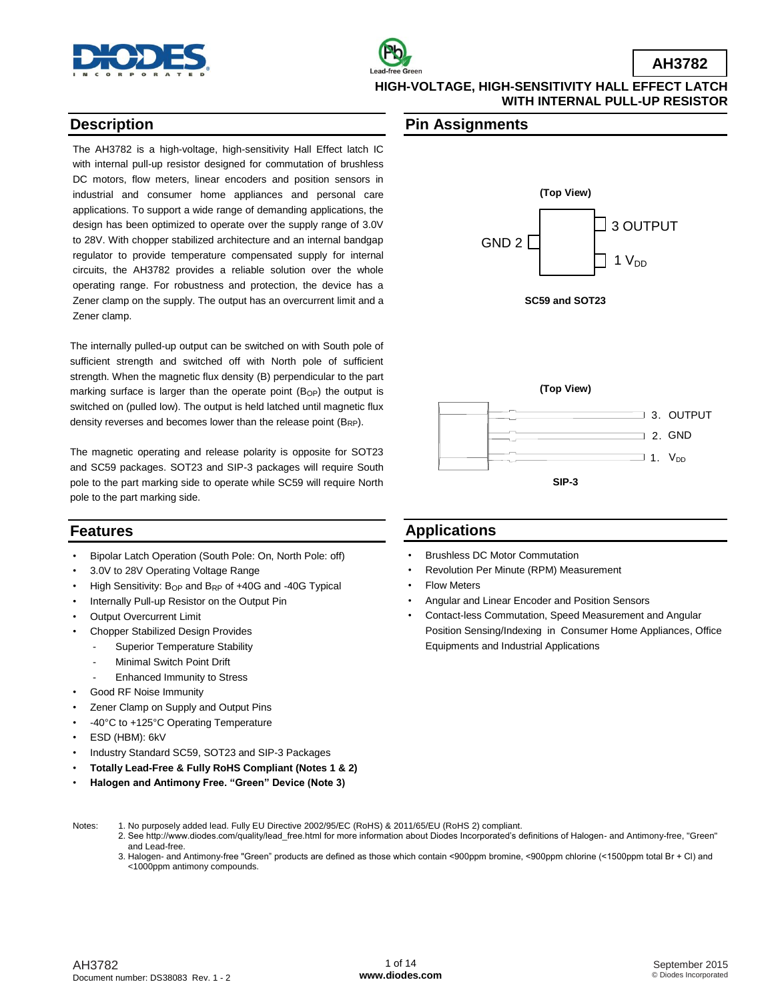



## **Description**

The AH3782 is a high-voltage, high-sensitivity Hall Effect latch IC with internal pull-up resistor designed for commutation of brushless DC motors, flow meters, linear encoders and position sensors in industrial and consumer home appliances and personal care applications. To support a wide range of demanding applications, the design has been optimized to operate over the supply range of 3.0V to 28V. With chopper stabilized architecture and an internal bandgap regulator to provide temperature compensated supply for internal circuits, the AH3782 provides a reliable solution over the whole operating range. For robustness and protection, the device has a Zener clamp on the supply. The output has an overcurrent limit and a Zener clamp.

The internally pulled-up output can be switched on with South pole of sufficient strength and switched off with North pole of sufficient strength. When the magnetic flux density (B) perpendicular to the part marking surface is larger than the operate point  $(B<sub>OP</sub>)$  the output is switched on (pulled low). The output is held latched until magnetic flux density reverses and becomes lower than the release point  $(B_{RP})$ .

The magnetic operating and release polarity is opposite for SOT23 and SC59 packages. SOT23 and SIP-3 packages will require South pole to the part marking side to operate while SC59 will require North pole to the part marking side.

## **Features**

- Bipolar Latch Operation (South Pole: On, North Pole: off)
- 3.0V to 28V Operating Voltage Range
- High Sensitivity:  $B_{OP}$  and  $B_{RP}$  of  $+40G$  and  $-40G$  Typical
- Internally Pull-up Resistor on the Output Pin
- **Output Overcurrent Limit**
- Chopper Stabilized Design Provides
	- Superior Temperature Stability
	- Minimal Switch Point Drift
	- Enhanced Immunity to Stress
- Good RF Noise Immunity
- Zener Clamp on Supply and Output Pins
- -40°C to +125°C Operating Temperature
- ESD (HBM): 6kV
- Industry Standard SC59, SOT23 and SIP-3 Packages
- **Totally Lead-Free & Fully RoHS Compliant (Notes 1 & 2)**
- **Halogen and Antimony Free. "Green" Device (Note 3)**

### **Pin Assignments**





## **Applications**

- Brushless DC Motor Commutation
- Revolution Per Minute (RPM) Measurement
- **Flow Meters**
- Angular and Linear Encoder and Position Sensors
- Contact-less Commutation, Speed Measurement and Angular Position Sensing/Indexing in Consumer Home Appliances, Office Equipments and Industrial Applications

- Notes: 1. No purposely added lead. Fully EU Directive 2002/95/EC (RoHS) & 2011/65/EU (RoHS 2) compliant.
	- 2. See [http://www.diodes.com/quality/lead\\_free.html fo](http://www.diodes.com/quality/lead_free.html)r more information about Diodes Incorporated's definitions of Halogen- and Antimony-free, "Green" and Lead-free.
	- 3. Halogen- and Antimony-free "Green" products are defined as those which contain <900ppm bromine, <900ppm chlorine (<1500ppm total Br + Cl) and <1000ppm antimony compounds.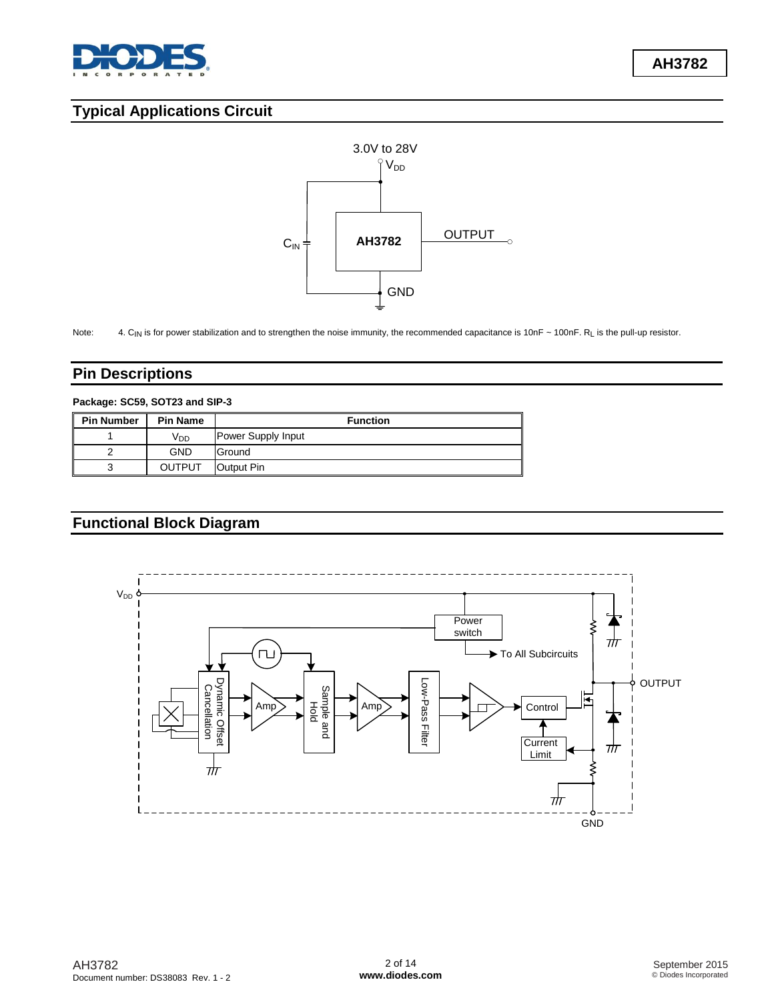

# **Typical Applications Circuit**



Note: 4. CIN is for power stabilization and to strengthen the noise immunity, the recommended capacitance is 10nF ~ 100nF. RL is the pull-up resistor.

## **Pin Descriptions**

#### **Package: SC59, SOT23 and SIP-3**

| <b>Pin Number</b> | <b>Pin Name</b> | <b>Function</b>    |
|-------------------|-----------------|--------------------|
|                   | V <sub>DD</sub> | Power Supply Input |
|                   | <b>GND</b>      | Ground             |
| 3                 | OUTPUT          | Output Pin         |

# **Functional Block Diagram**

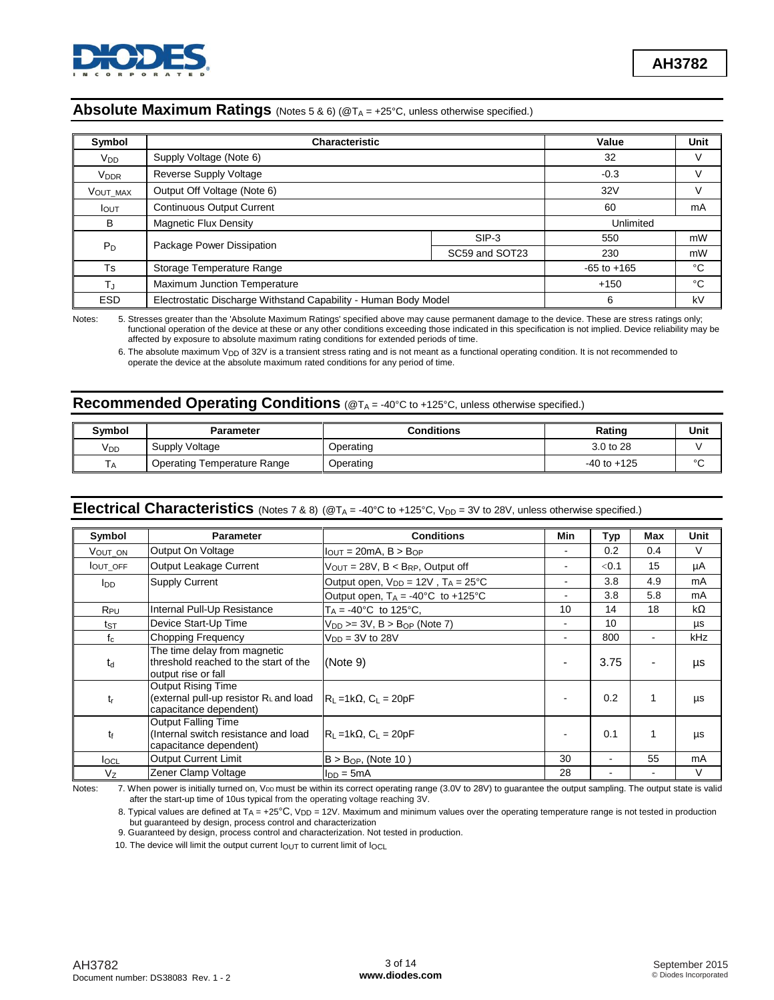

## **Absolute Maximum Ratings** (Notes 5 & 6) (@T<sub>A</sub> = +25°C, unless otherwise specified.)

| Symbol                 | <b>Characteristic</b>                                           |                | Value           | Unit |
|------------------------|-----------------------------------------------------------------|----------------|-----------------|------|
| $V_{DD}$               | Supply Voltage (Note 6)                                         |                | 32              | ٧    |
| <b>V<sub>DDR</sub></b> | Reverse Supply Voltage                                          |                | $-0.3$          | V    |
| VOUT MAX               | Output Off Voltage (Note 6)                                     | 32V            | v               |      |
| $I_{\text{OUT}}$       | <b>Continuous Output Current</b>                                | 60             | mA              |      |
| В                      | Magnetic Flux Density                                           | Unlimited      |                 |      |
|                        |                                                                 | $SIP-3$        | 550             | mW   |
| $P_D$                  | Package Power Dissipation                                       | SC59 and SOT23 | 230             | mW   |
| Ts                     | Storage Temperature Range                                       |                | $-65$ to $+165$ | °C   |
| TJ                     | Maximum Junction Temperature                                    | $+150$         | °C              |      |
| <b>ESD</b>             | Electrostatic Discharge Withstand Capability - Human Body Model |                | 6               | kV   |

Notes: 5. Stresses greater than the 'Absolute Maximum Ratings' specified above may cause permanent damage to the device. These are stress ratings only; functional operation of the device at these or any other conditions exceeding those indicated in this specification is not implied. Device reliability may be affected by exposure to absolute maximum rating conditions for extended periods of time.

6. The absolute maximum V<sub>DD</sub> of 32V is a transient stress rating and is not meant as a functional operating condition. It is not recommended to operate the device at the absolute maximum rated conditions for any period of time.

### **Recommended Operating Conditions** (@T<sub>A</sub> = -40°C to +125°C, unless otherwise specified.)

| Symbol          | <b>Parameter</b>            | Conditions | Rating          | Unit   |
|-----------------|-----------------------------|------------|-----------------|--------|
| V <sub>DD</sub> | Supply Voltage              | Operating  | 3.0 to 28       |        |
|                 | Operating Temperature Range | Operating  | $-40$ to $+125$ | $\sim$ |

## Electrical Characteristics (Notes 7 & 8) (@T<sub>A</sub> = -40°C to +125°C, V<sub>DD</sub> = 3V to 28V, unless otherwise specified.)

| Symbol                                                                                      | <b>Parameter</b>                                                                             | <b>Conditions</b>                                     | Min            | Typ   | Max | Unit |
|---------------------------------------------------------------------------------------------|----------------------------------------------------------------------------------------------|-------------------------------------------------------|----------------|-------|-----|------|
| VOUT ON                                                                                     | Output On Voltage                                                                            | $I_{\text{OUT}} = 20 \text{mA}$ , $B > B_{\text{OP}}$ |                | 0.2   | 0.4 | V    |
| <b>IOUT OFF</b>                                                                             | Output Leakage Current                                                                       | $V_{\text{OUT}} = 28V$ , $B < B_{RP}$ , Output off    | $\blacksquare$ | < 0.1 | 15  | μA   |
| l <sub>DD</sub>                                                                             | <b>Supply Current</b>                                                                        | Output open, $V_{DD} = 12V$ , $T_A = 25^{\circ}C$     |                | 3.8   | 4.9 | mA   |
|                                                                                             |                                                                                              | Output open, $T_A = -40^{\circ}C$ to $+125^{\circ}C$  |                | 3.8   | 5.8 | mA   |
| R <sub>PU</sub>                                                                             | Internal Pull-Up Resistance                                                                  | $T_A = -40^{\circ}C$ to 125°C.                        | 10             | 14    | 18  | kΩ   |
| ts⊤                                                                                         | Device Start-Up Time                                                                         | $V_{DD}$ >= 3V, B > B <sub>OP</sub> (Note 7)          |                | 10    |     | μs   |
| $f_c$                                                                                       | Chopping Frequency                                                                           | $VDD = 3V$ to 28V                                     |                | 800   |     | kHz  |
| $t_d$                                                                                       | The time delay from magnetic<br>threshold reached to the start of the<br>output rise or fall | (Note 9)                                              |                | 3.75  |     | μs   |
| $t_{r}$                                                                                     | <b>Output Rising Time</b><br>(external pull-up resistor R∟and load<br>capacitance dependent) | $R_1 = 1k\Omega$ , $C_1 = 20pF$                       |                | 0.2   |     | μs   |
| Output Falling Time<br>(Internal switch resistance and load<br>tf<br>capacitance dependent) |                                                                                              | $R_L = 1k\Omega$ , $C_L = 20pF$                       |                | 0.1   |     | μs   |
| $I_{\text{OCL}}$                                                                            | <b>Output Current Limit</b>                                                                  | $B > B_{OP}$ , (Note 10)                              | 30             | ۰     | 55  | mA   |
| Vz                                                                                          | Zener Clamp Voltage                                                                          | $Inn = 5mA$                                           | 28             |       |     | V    |

Notes: 7. When power is initially turned on, V<sub>DD</sub> must be within its correct operating range (3.0V to 28V) to guarantee the output sampling. The output state is valid after the start-up time of 10us typical from the operating voltage reaching 3V.

8. Typical values are defined at  $T_A = +25^{\circ}C$ , V<sub>DD</sub> = 12V. Maximum and minimum values over the operating temperature range is not tested in production but guaranteed by design, process control and characterization

9. Guaranteed by design, process control and characterization. Not tested in production.

10. The device will limit the output current  $I_{\text{OUT}}$  to current limit of  $I_{\text{OCL}}$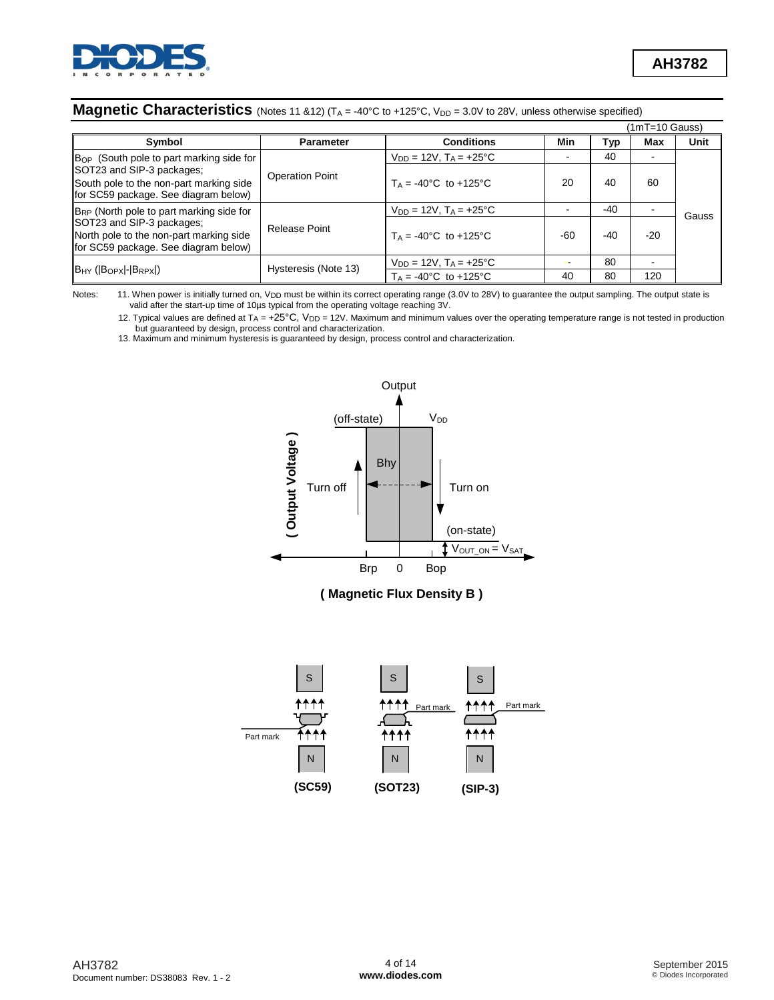

## **Magnetic Characteristics** (Notes 11 &12) (T<sub>A</sub> = -40°C to +125°C, V<sub>DD</sub> = 3.0V to 28V, unless otherwise specified)

|                                                                                                              |                        |                                         |       |       | (1mT=10 Gauss) |             |
|--------------------------------------------------------------------------------------------------------------|------------------------|-----------------------------------------|-------|-------|----------------|-------------|
| Symbol                                                                                                       | <b>Parameter</b>       | <b>Conditions</b>                       | Min   | Typ   | Max            | <b>Unit</b> |
| B <sub>OP</sub> (South pole to part marking side for                                                         |                        | $V_{DD} = 12V$ , $T_A = +25^{\circ}C$   |       | 40    |                |             |
| SOT23 and SIP-3 packages;<br>South pole to the non-part marking side<br>for SC59 package. See diagram below) | <b>Operation Point</b> | $T_A = -40^{\circ}C$ to $+125^{\circ}C$ | 20    | 40    | 60             |             |
| B <sub>RP</sub> (North pole to part marking side for                                                         |                        | $V_{DD} = 12V$ , $T_A = +25^{\circ}C$   |       | $-40$ |                | Gauss       |
| SOT23 and SIP-3 packages;<br>North pole to the non-part marking side<br>for SC59 package. See diagram below) | Release Point          | $T_A = -40^{\circ}C$ to $+125^{\circ}C$ | $-60$ | $-40$ | $-20$          |             |
|                                                                                                              | Hysteresis (Note 13)   | $V_{DD} = 12V$ , $T_A = +25^{\circ}C$   |       | 80    |                |             |
| B <sub>HY</sub> (BOPX  - BRPX)                                                                               |                        | $T_A = -40^{\circ}C$ to $+125^{\circ}C$ | 40    | 80    | 120            |             |

Notes: 11. When power is initially turned on, V<sub>DD</sub> must be within its correct operating range (3.0V to 28V) to guarantee the output sampling. The output state is<br>valid after the start-up time of 10µs typical from the oper

12. Typical values are defined at  $T_A = +25^\circ \text{C}$ ,  $V_{DD} = 12V$ . Maximum and minimum values over the operating temperature range is not tested in production but guaranteed by design, process control and characterization.

13. Maximum and minimum hysteresis is guaranteed by design, process control and characterization.



### **( Magnetic Flux Density B )**

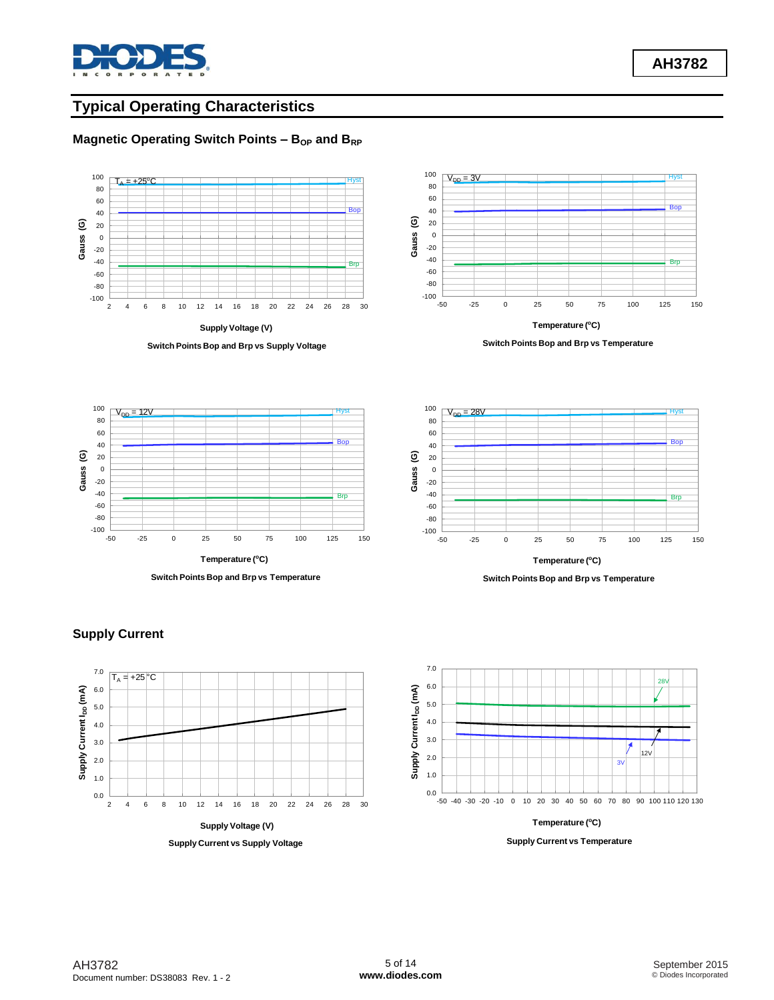

**AH3782**

# **Typical Operating Characteristics**

## **Magnetic Operating Switch Points – B<sub>OP</sub>** and B<sub>RP</sub>



**Switch Points Bop and Brp vs Temperature**







Supply Current I<sub>pp</sub> (mA) **Supply Current IDD (mA)** 2.0 1.0  $0.0 \frac{L}{2}$ 2 4 6 8 10 12 14 16 18 20 22 24 26 28 30 **Supply Voltage (V) Supply Current vs Supply Voltage**

### **Supply Current**

 $T<sub>A</sub> = +25$  °C

3.0 4.0 5.0 6.0 7.0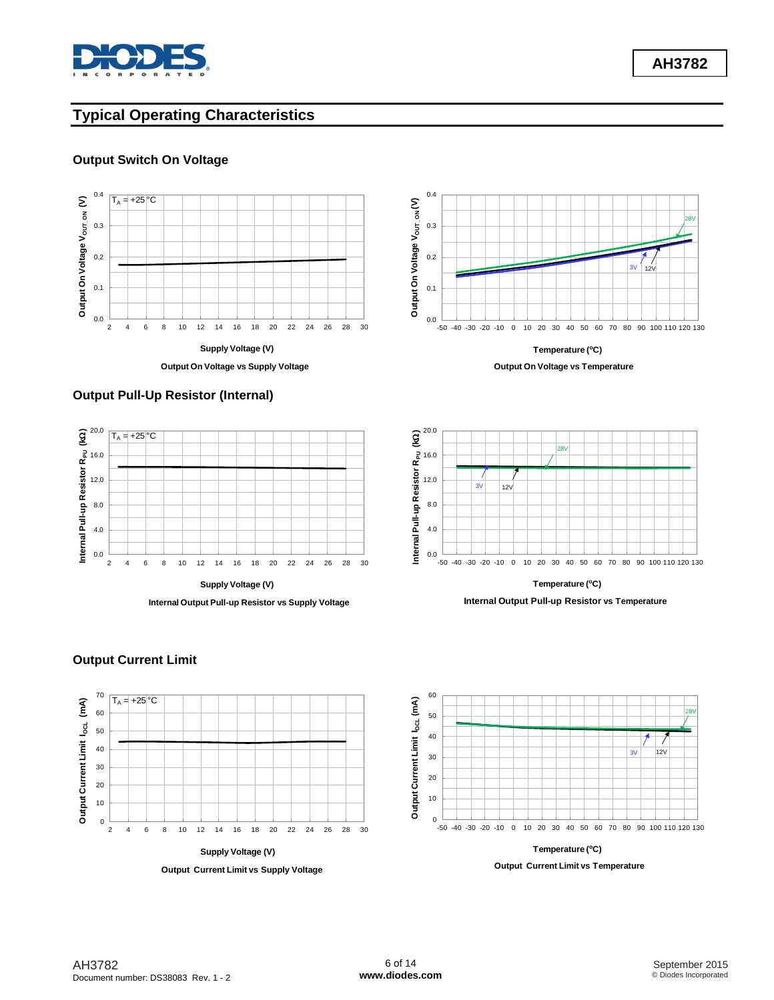

**AH3782**

# **Typical Operating Characteristics**

### **Output Switch On Voltage**



**Output On Voltage vs Supply Voltage**

## **Output Pull-Up Resistor (Internal)**





**Temperature (<sup>o</sup>C) Output On Voltage vs Temperature**



**Internal Output Pull-up Resistor vs Temperature**



**Output Current Limit vs Supply Voltage**

-50 -40 -30 -20 -10 0 10 20 30 40 50 60 70 80 90 100 110 120 130 **Temperature (<sup>o</sup>C)** 3V 12V 28V



## **Output Current Limit**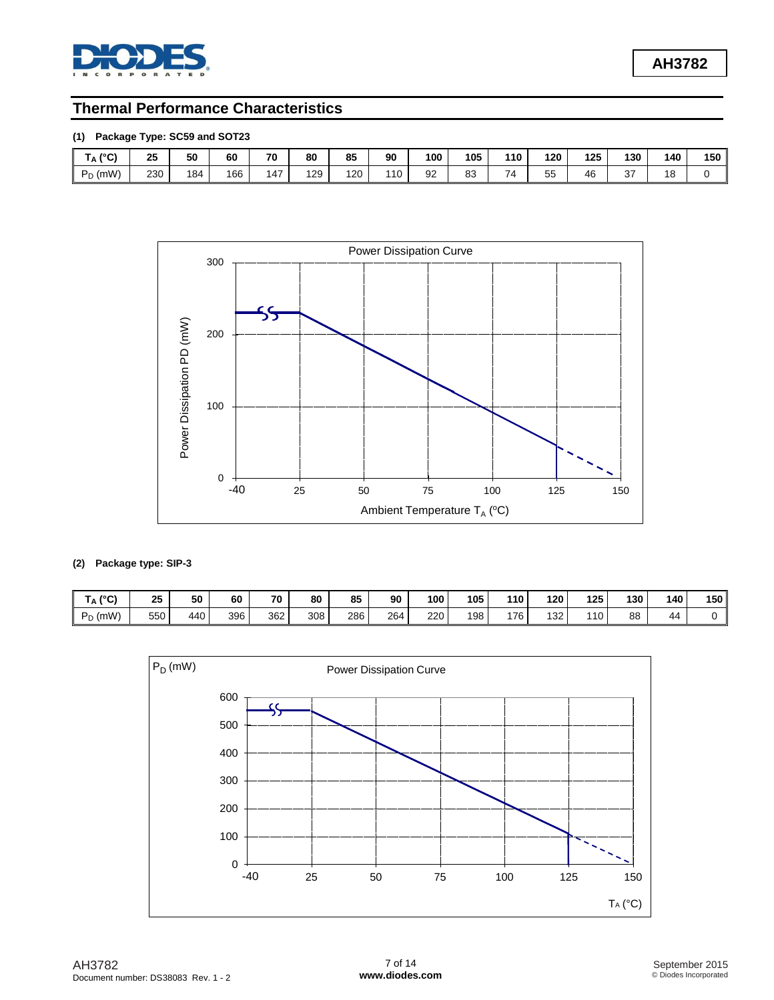

## **Thermal Performance Characteristics**

## **(1) Package Type: SC59 and SOT23**

| $10^{\circ}$<br>י<br>$\mathsf{A}$ | 25<br>__      | 50  | 60  | 70  | 80                                       | 85  | 90  | 100 | 105 | 110 | 120 | 125 | 130           | 140 | 150 |
|-----------------------------------|---------------|-----|-----|-----|------------------------------------------|-----|-----|-----|-----|-----|-----|-----|---------------|-----|-----|
| D(mW)<br>$\sim$<br>◡              | 230<br>$\sim$ | 184 | 166 | 147 | 129<br>and the control of the control of | 120 | 110 | 92  | 83  | 74  | 55  | 46  | $\sim$<br>، ب | 18  |     |



### **(2) Package type: SIP-3**

| $10^{\sim}$<br>IA.<br>וש | 25  | 50  | 60  | 70  | 80  | 85  | 90  | 100 | 105 | 110 | 120 | 125 | 130 | 140 | 150 |
|--------------------------|-----|-----|-----|-----|-----|-----|-----|-----|-----|-----|-----|-----|-----|-----|-----|
| , (mW)<br>D.             | 550 | 440 | 396 | 362 | 308 | 286 | 264 | 220 | 198 | 176 | 132 | 10  | 88  | 44  |     |

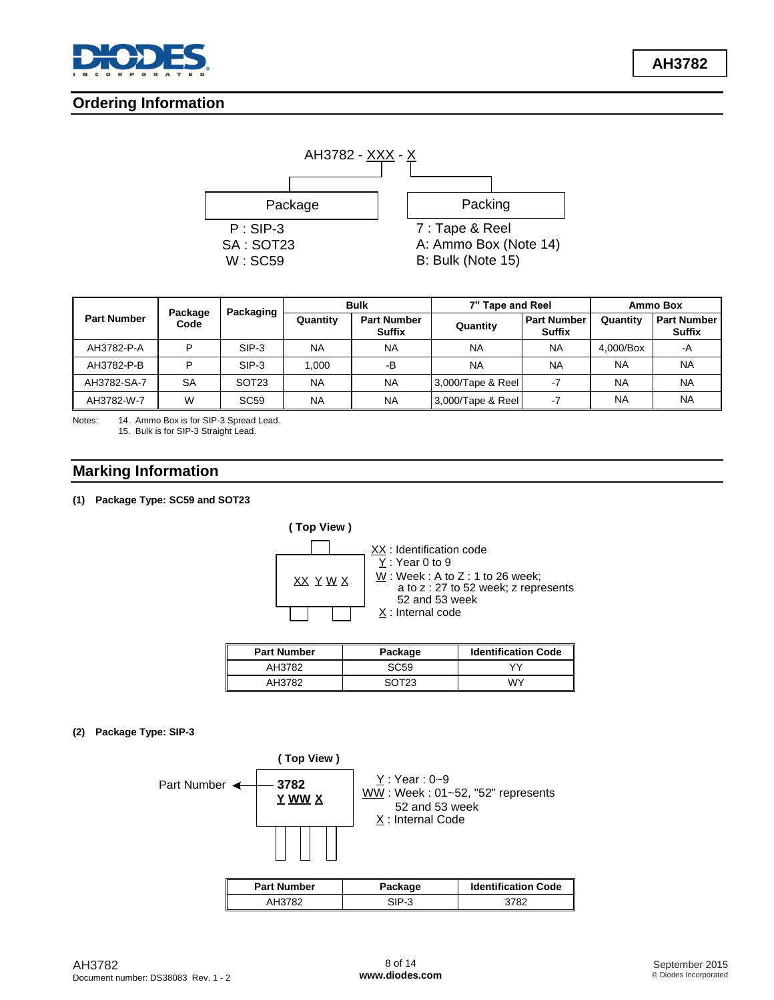

**Ordering Information**



| Package            |           | Packaging         | <b>Bulk</b> |                                     | 7" Tape and Reel  |                                     | Ammo Box  |                                     |
|--------------------|-----------|-------------------|-------------|-------------------------------------|-------------------|-------------------------------------|-----------|-------------------------------------|
| <b>Part Number</b> | Code      |                   | Quantity    | <b>Part Number</b><br><b>Suffix</b> | Quantity          | <b>Part Number</b><br><b>Suffix</b> | Quantity  | <b>Part Number</b><br><b>Suffix</b> |
| AH3782-P-A         | D         | $SIP-3$           | <b>NA</b>   | <b>NA</b>                           | <b>NA</b>         | <b>NA</b>                           | 4.000/Box | -A                                  |
| AH3782-P-B         | D         | $SIP-3$           | 1.000       | -В                                  | <b>NA</b>         | <b>NA</b>                           | <b>NA</b> | <b>NA</b>                           |
| AH3782-SA-7        | <b>SA</b> | SOT <sub>23</sub> | <b>NA</b>   | <b>NA</b>                           | 3,000/Tape & Reel | $-7$                                | <b>NA</b> | <b>NA</b>                           |
| AH3782-W-7         | W         | <b>SC59</b>       | <b>NA</b>   | <b>NA</b>                           | 3,000/Tape & Reel | $-7$                                | <b>NA</b> | <b>NA</b>                           |

Notes: 14. Ammo Box is for SIP-3 Spread Lead. 15. Bulk is for SIP-3 Straight Lead.

## **Marking Information**

### **(1) Package Type: SC59 and SOT23**



| <b>Part Number</b> | Package          | <b>Identification Code</b> |
|--------------------|------------------|----------------------------|
| AH3782             | SC <sub>59</sub> | $\vee$                     |
| AH3782             | ∝רר∩             | WΥ                         |

### **(2) Package Type: SIP-3**

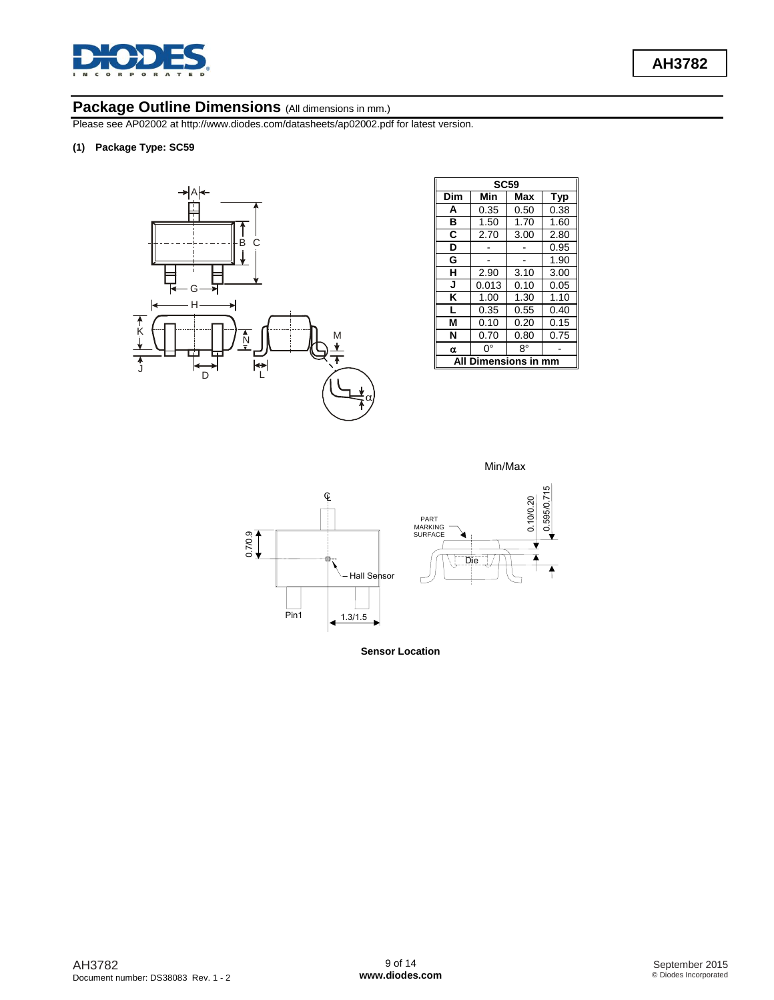

## Package Outline Dimensions (All dimensions in mm.)

Please see AP02002 at [http://www.diodes.com/datasheets/ap02002.pdf fo](http://www.diodes.com/datasheets/ap02002.pdf)r latest version.

**(1) Package Type: SC59**



|     | <b>SC59</b>          |      |            |
|-----|----------------------|------|------------|
| Dim | Min                  | Max  | <b>Typ</b> |
| A   | 0.35                 | 0.50 | 0.38       |
| в   | 1.50                 | 1.70 | 1.60       |
| C   | 2.70                 | 3.00 | 2.80       |
| D   |                      |      | 0.95       |
| G   |                      |      | 1.90       |
| н   | 2.90                 | 3.10 | 3.00       |
| J   | 0.013                | 0.10 | 0.05       |
| κ   | 1.00                 | 1.30 | 1.10       |
| L   | 0.35                 | 0.55 | 0.40       |
| М   | 0.10                 | 0.20 | 0.15       |
| N   | 0.70                 | 0.80 | 0.75       |
| α   | O°                   | 8°   |            |
| ΔIΙ | <b>Dimensions in</b> |      | mm         |

Min/Max



**Sensor Location**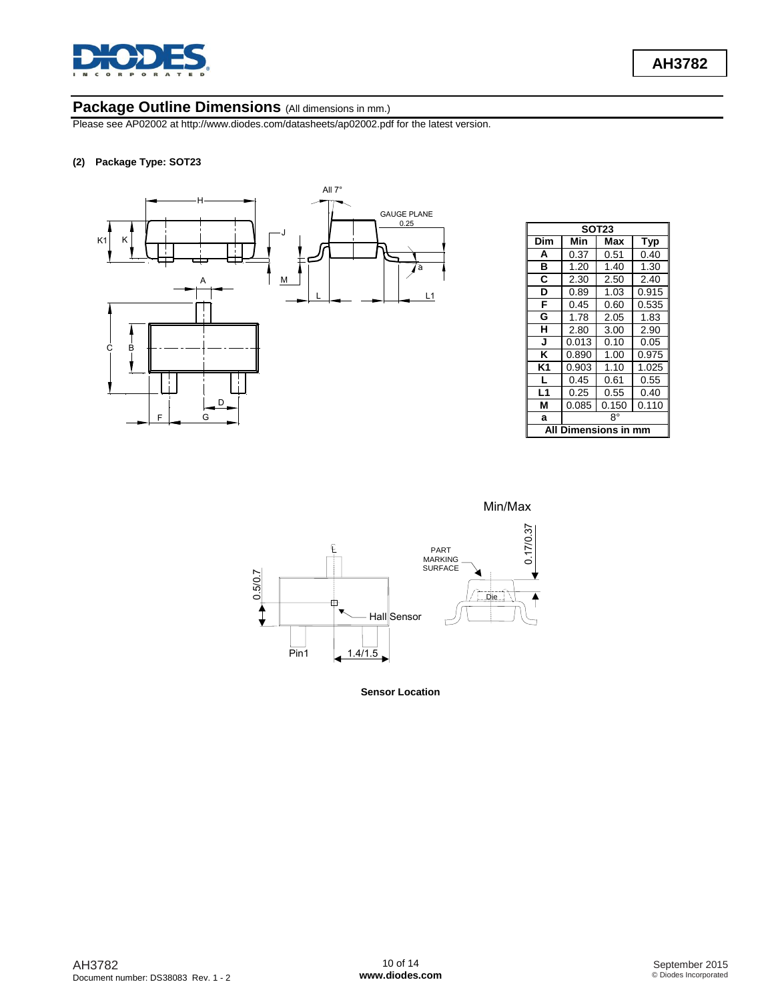

## Package Outline Dimensions (All dimensions in mm.)

Please see AP02002 at [http://www.diodes.com/datasheets/ap02002.pdf fo](http://www.diodes.com/datasheets/ap02002.pdf)r the latest version.

#### **(2) Package Type: SOT23**



|     |               | SOT <sub>23</sub> |       |
|-----|---------------|-------------------|-------|
| Dim | Min           | Max               | Typ   |
| A   | 0.37          | 0.51              | 0.40  |
| в   | 1.20          | 1.40              | 1.30  |
| C   | 2.30          | 2.50              | 2.40  |
| D   | 0.89          | 1.03              | 0.915 |
| F   | 0.45          | 0.60              | 0.535 |
| G   | 1.78          | 2.05              | 1.83  |
| н   | 2.80          | 3.00              | 2.90  |
| J   | 0.013         | 0.10              | 0.05  |
| K   | 0.890         | 1.00              | 0.975 |
| K1  | 0.903         | 1.10              | 1.025 |
| L   | 0.45          | 0.61              | 0.55  |
| L1  | 0.25          | 0.55              | 0.40  |
| М   | 0.085         | 0.150             | 0.110 |
| a   |               | R۰                |       |
| ΑI  | Dimensions in |                   |       |

Min/Max



**Sensor Location**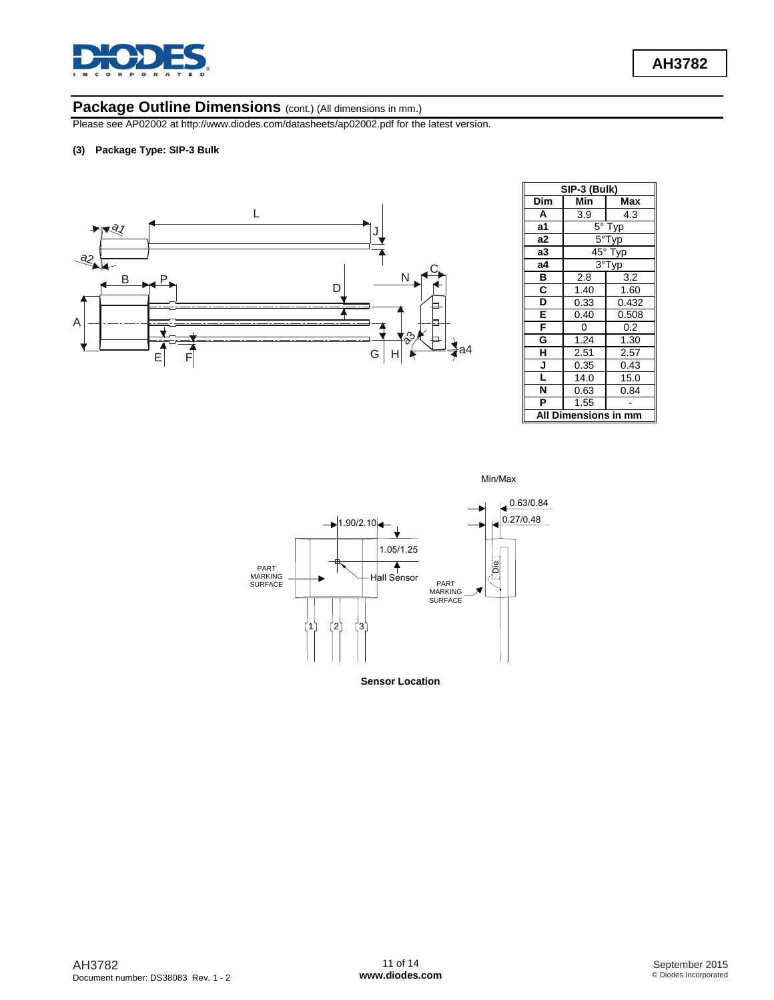

# Package Outline Dimensions (cont.) (All dimensions in mm.)

Please see AP02002 at [http://www.diodes.com/datasheets/ap02002.pdf fo](http://www.diodes.com/datasheets/ap02002.pdf)r the latest version.

#### **(3) Package Type: SIP-3 Bulk**



|     | SIP-3 (Bulk) |       |
|-----|--------------|-------|
| Dim | Min          | Max   |
| A   | 3.9          | 4.3   |
| a1  | $5^{\circ}$  | -yp   |
| a2  | 5°           |       |
| a3  | $45^{\circ}$ | yp    |
| а4  | $3^{\circ}$  | yp    |
| B   | 2.8          | 3.2   |
| C   | 1.40         | 1.60  |
| D   | 0.33         | 0.432 |
| E   | 0.40         | 0.508 |
| F   | 0            | 0.2   |
| G   | 1.24         | 1.30  |
| Н   | 2.51         | 2.57  |
| J   | 0.35         | 0.43  |
|     | 14.0         | 15.0  |
| N   | 0.63         | 0.84  |
| P   | 1.55         |       |
| Δ   | mensions in  |       |

Min/Max

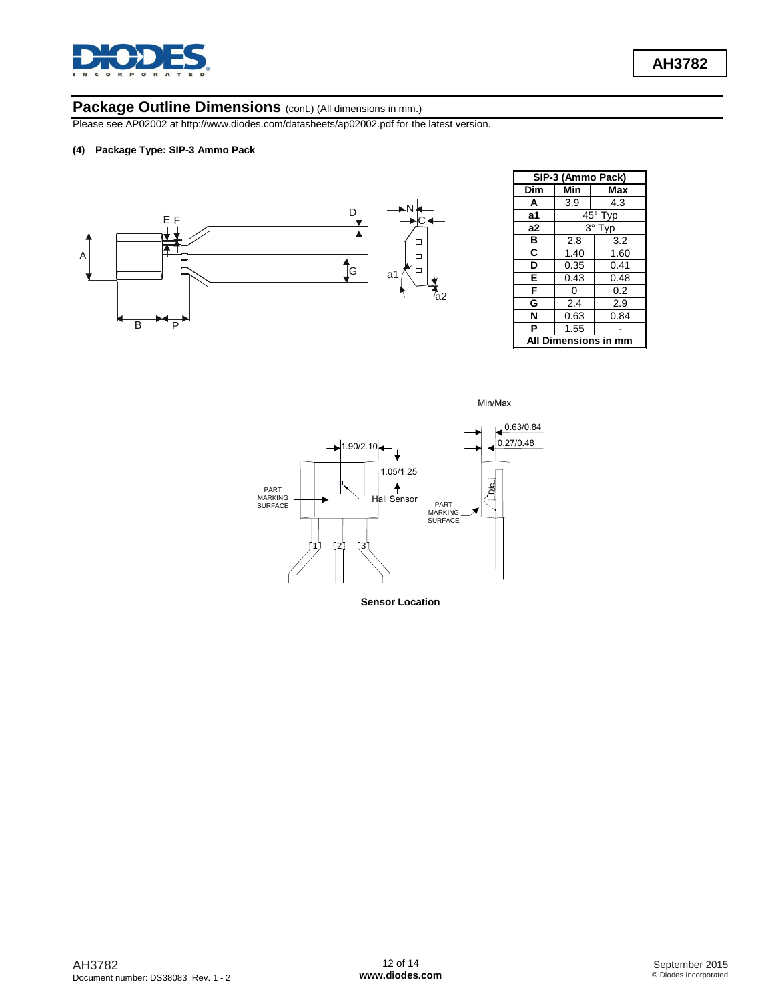

## Package Outline Dimensions (cont.) (All dimensions in mm.)

Please see AP02002 at [http://www.diodes.com/datasheets/ap02002.pdf fo](http://www.diodes.com/datasheets/ap02002.pdf)r the latest version.

#### **(4) Package Type: SIP-3 Ammo Pack**



| SIP-3 (Ammo Pack)       |                     |      |
|-------------------------|---------------------|------|
| Dim                     | Min                 | Max  |
| A                       | 3.9                 | 4.3  |
| a1                      | $45^{\circ}$<br>Typ |      |
| a2                      | 3°.<br>Typ          |      |
| в                       | 2.8                 | 3.2  |
| C                       | 1.40                | 1.60 |
| D                       | 0.35                | 0.41 |
| E                       | 0.43                | 0.48 |
| F                       | 0                   | 0.2  |
| G                       | 2.4                 | 2.9  |
| N                       | 0.63                | 0.84 |
| P                       | 1.55                |      |
| Dimensions in mm<br>Αll |                     |      |





**Sensor Location**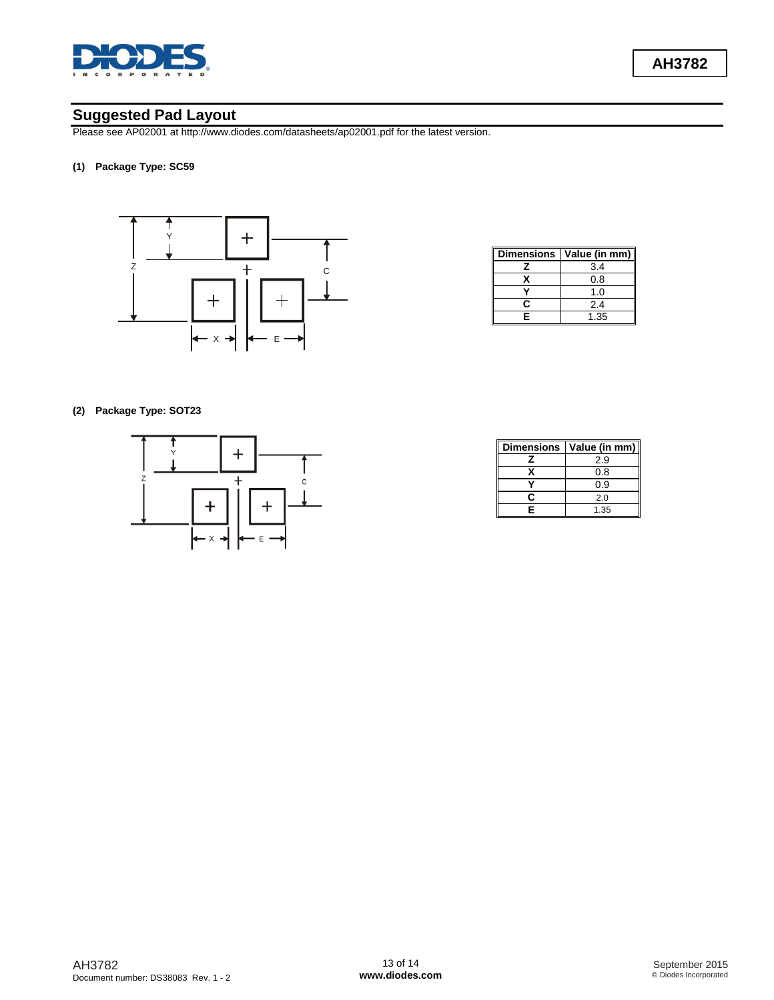

## **Suggested Pad Layout**

Please see AP02001 at [http://www.diodes.com/datasheets/ap02001.pdf fo](http://www.diodes.com/datasheets/ap02001.pdf)r the latest version.

#### **(1) Package Type: SC59**



| <b>Dimensions</b> | Value (in mm) |
|-------------------|---------------|
|                   | 3.4           |
|                   | 0.8           |
|                   | 1.0           |
| r                 | 2.4           |
| F                 | 1.35          |

**(2) Package Type: SOT23**



| <b>Dimensions</b> | Value (in mm) |
|-------------------|---------------|
|                   | 2.9           |
|                   | 0.8           |
|                   | 0.9           |
| r                 | 2.0           |
| Е                 | 1.35          |